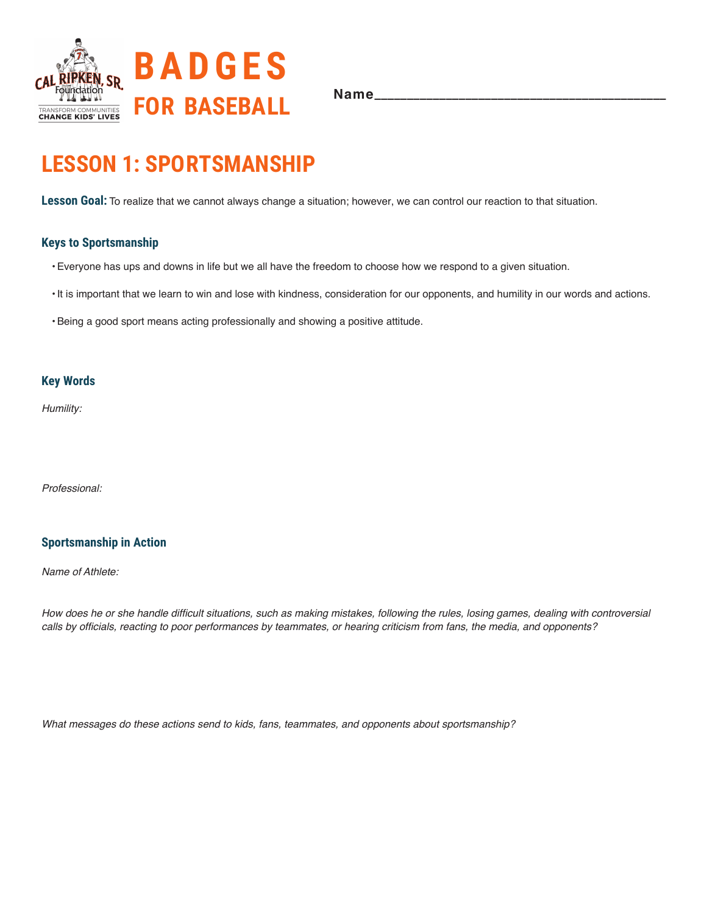

## **LESSON 1: SPORTSMANSHIP**

**Lesson Goal:** To realize that we cannot always change a situation; however, we can control our reaction to that situation.

### **Keys to Sportsmanship**

- •Everyone has ups and downs in life but we all have the freedom to choose how we respond to a given situation.
- •It is important that we learn to win and lose with kindness, consideration for our opponents, and humility in our words and actions.
- •Being a good sport means acting professionally and showing a positive attitude.

### **Key Words**

*Humility:*

*Professional:* 

### **Sportsmanship in Action**

*Name of Athlete:*

How does he or she handle difficult situations, such as making mistakes, following the rules, losing games, dealing with controversial calls by officials, reacting to poor performances by teammates, or hearing criticism from fans, the media, and opponents?

What messages do these actions send to kids, fans, teammates, and opponents about sportsmanship?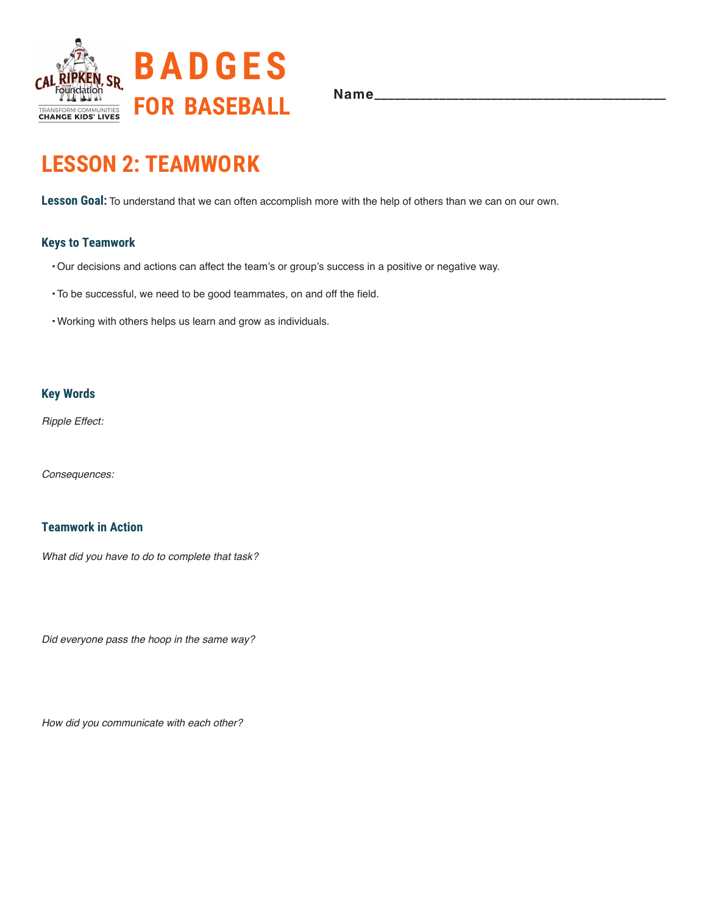

# **LESSON 2: TEAMWORK**

**Lesson Goal:** To understand that we can often accomplish more with the help of others than we can on our own.

## **Keys to Teamwork**

- •Our decisions and actions can affect the team's or group's success in a positive or negative way.
- •To be successful, we need to be good teammates, on and off the field.
- •Working with others helps us learn and grow as individuals.

### **Key Words**

Ripple Effect:

Consequences:

## **Teamwork in Action**

What did you have to do to complete that task?

Did everyone pass the hoop in the same way?

How did you communicate with each other?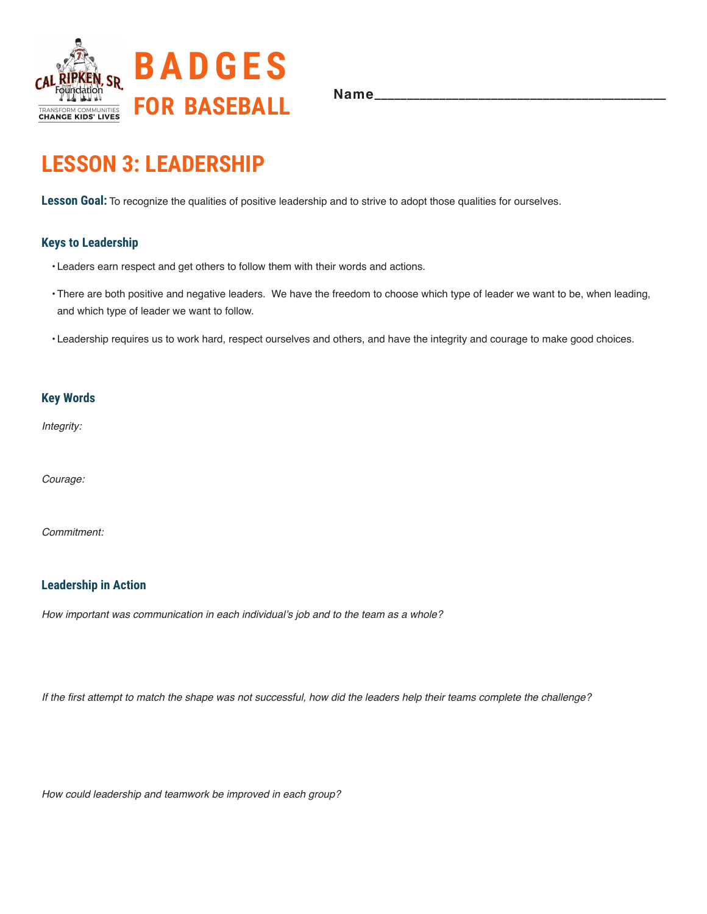

# **LESSON 3: LEADERSHIP**

**Lesson Goal:** To recognize the qualities of positive leadership and to strive to adopt those qualities for ourselves.

## **Keys to Leadership**

- Leaders earn respect and get others to follow them with their words and actions.
- •There are both positive and negative leaders. We have the freedom to choose which type of leader we want to be, when leading, and which type of leader we want to follow.
- Leadership requires us to work hard, respect ourselves and others, and have the integrity and courage to make good choices.

#### **Key Words**

Integrity:

Courage:

*Commitment:* 

## **Leadership in Action**

How important was communication in each individual's job and to the team as a whole?

If the first attempt to match the shape was not successful, how did the leaders help their teams complete the challenge?

How could leadership and teamwork be improved in each group?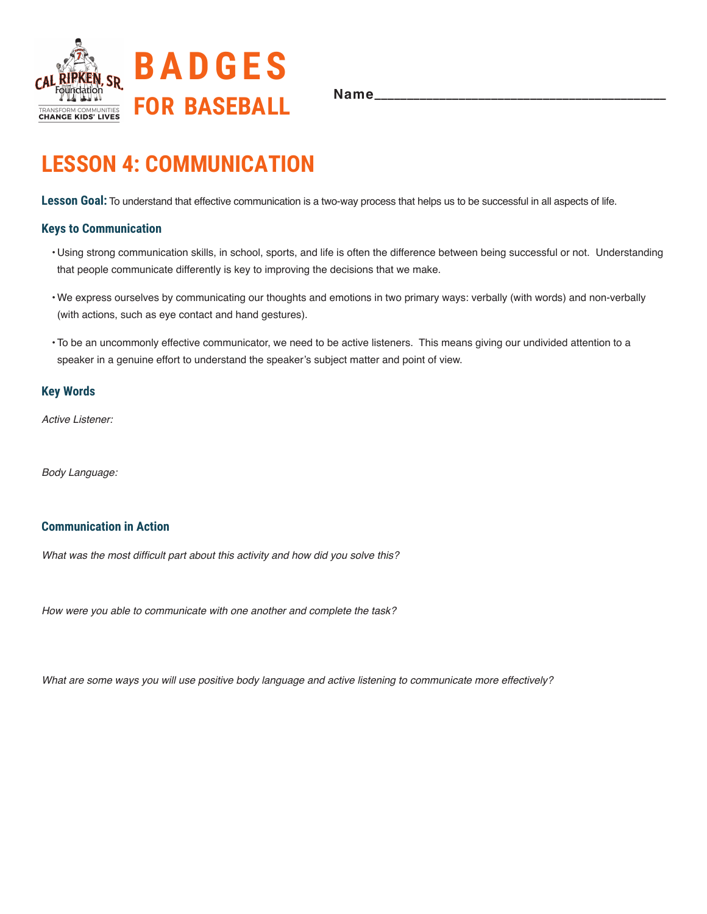

## **LESSON 4: COMMUNICATION**

Lesson Goal: To understand that effective communication is a two-way process that helps us to be successful in all aspects of life.

#### **Keys to Communication**

- Using strong communication skills, in school, sports, and life is often the difference between being successful or not. Understanding that people communicate differently is key to improving the decisions that we make.
- •We express ourselves by communicating our thoughts and emotions in two primary ways: verbally (with words) and non-verbally (with actions, such as eye contact and hand gestures).
- •To be an uncommonly effective communicator, we need to be active listeners. This means giving our undivided attention to a speaker in a genuine effort to understand the speaker's subject matter and point of view.

### **Key Words**

Active Listener:

Body Language:

### **Communication in Action**

What was the most difficult part about this activity and how did you solve this?

How were you able to communicate with one another and complete the task?

What are some ways you will use positive body language and active listening to communicate more effectively?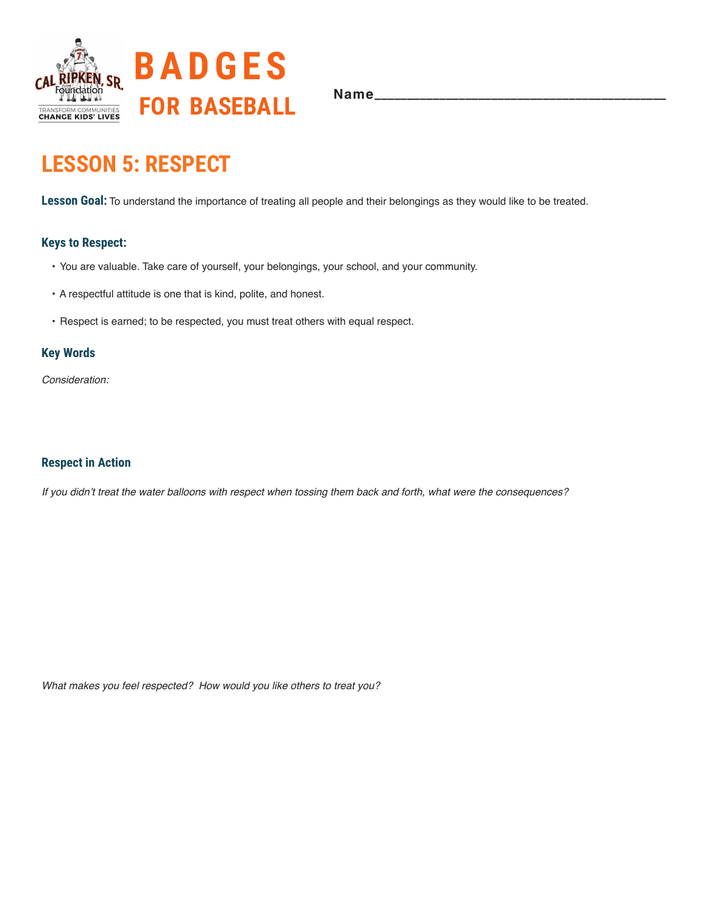

# **LESSON 5: RESPECT**

**Lesson Goal:** To understand the importance of treating all people and their belongings as they would like to be treated.

## **Keys to Respect:**

- You are valuable. Take care of yourself, your belongings, your school, and your community.
- A respectful attitude is one that is kind, polite, and honest.
- Respect is earned; to be respected, you must treat others with equal respect.

#### **Key Words**

*Consideration:*

### **Respect in Action**

If you didn't treat the water balloons with respect when tossing them back and forth, what were the consequences?

What makes you feel respected? How would you like others to treat you?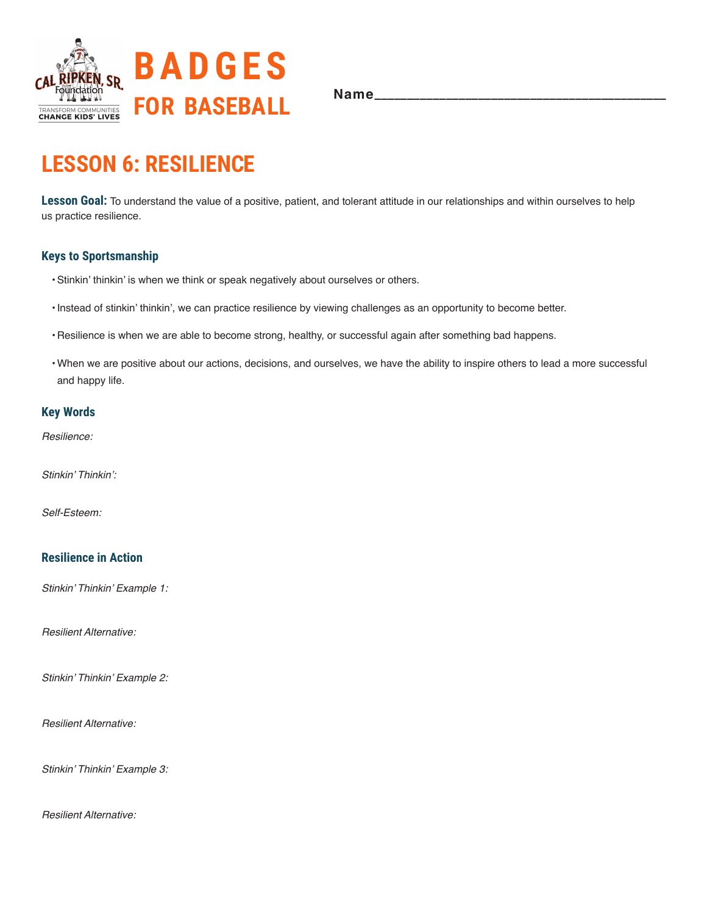

# **LESSON 6: RESILIENCE**

**Lesson Goal:** To understand the value of a positive, patient, and tolerant attitude in our relationships and within ourselves to help us practice resilience.

### **Keys to Sportsmanship**

- •Stinkin' thinkin' is when we think or speak negatively about ourselves or others.
- •Instead of stinkin' thinkin', we can practice resilience by viewing challenges as an opportunity to become better.
- Resilience is when we are able to become strong, healthy, or successful again after something bad happens.
- •When we are positive about our actions, decisions, and ourselves, we have the ability to inspire others to lead a more successful and happy life.

## **Key Words**

Resilience:

Stinkin' Thinkin':

Self-Esteem:

### **Resilience in Action**

Stinkin' Thinkin' Example 1:

Resilient Alternative:

Stinkin' Thinkin' Example 2:

Resilient Alternative:

Stinkin' Thinkin' Example 3:

Resilient Alternative: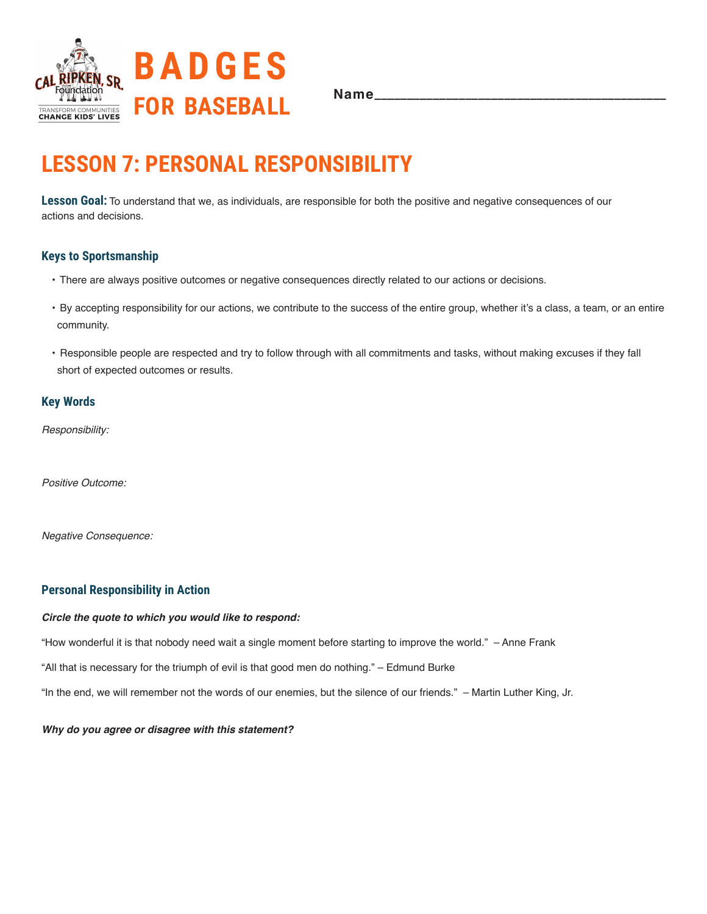

# **LESSON 7: PERSONAL RESPONSIBILITY**

**Lesson Goal:** To understand that we, as individuals, are responsible for both the positive and negative consequences of our actions and decisions.

## **Keys to Sportsmanship**

- There are always positive outcomes or negative consequences directly related to our actions or decisions.
- By accepting responsibility for our actions, we contribute to the success of the entire group, whether it's a class, a team, or an entire community.
- Responsible people are respected and try to follow through with all commitments and tasks, without making excuses if they fall short of expected outcomes or results.

### **Key Words**

Responsibility:

Positive Outcome:

Negative Consequence:

## **Personal Responsibility in Action**

#### *Circle the quote to which you would like to respond:*

"How wonderful it is that nobody need wait a single moment before starting to improve the world." – Anne Frank

"All that is necessary for the triumph of evil is that good men do nothing." – Edmund Burke

"In the end, we will remember not the words of our enemies, but the silence of our friends." – Martin Luther King, Jr.

#### *Why do you agree or disagree with this statement?*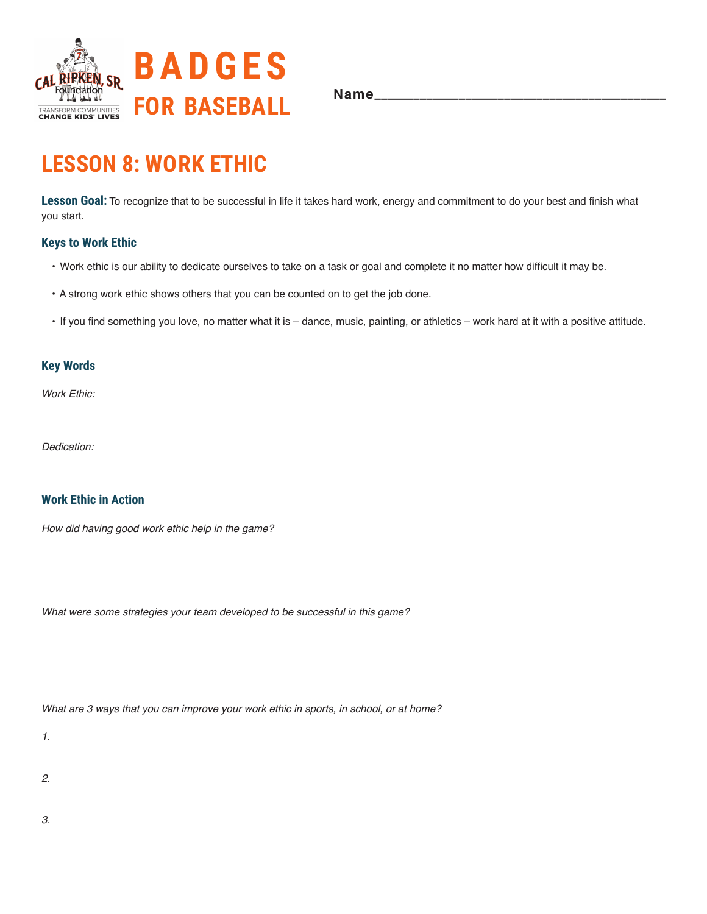

# **LESSON 8: WORK ETHIC**

Lesson Goal: To recognize that to be successful in life it takes hard work, energy and commitment to do your best and finish what you start.

### **Keys to Work Ethic**

- Work ethic is our ability to dedicate ourselves to take on a task or goal and complete it no matter how difficult it may be.
- A strong work ethic shows others that you can be counted on to get the job done.
- If you find something you love, no matter what it is dance, music, painting, or athletics work hard at it with a positive attitude.

## **Key Words**

Work Ethic:

Dedication:

## **Work Ethic in Action**

How did having good work ethic help in the game?

What were some strategies your team developed to be successful in this game?

What are 3 ways that you can improve your work ethic in sports, in school, or at home?

1.

2.

3.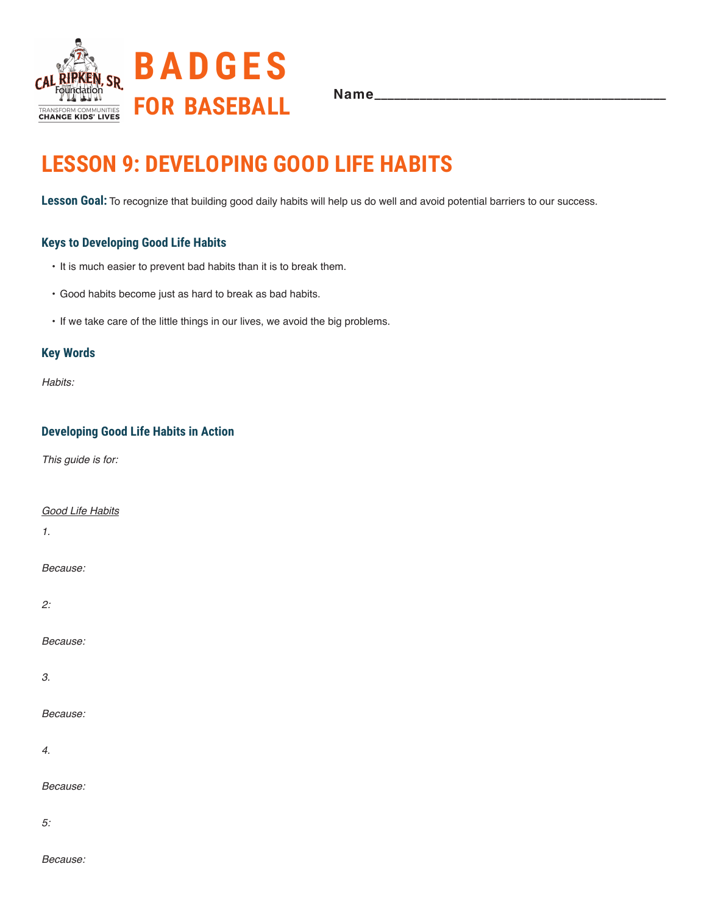

# **LESSON 9: DEVELOPING GOOD LIFE HABITS**

**Lesson Goal:** To recognize that building good daily habits will help us do well and avoid potential barriers to our success.

## **Keys to Developing Good Life Habits**

- It is much easier to prevent bad habits than it is to break them.
- Good habits become just as hard to break as bad habits.
- If we take care of the little things in our lives, we avoid the big problems.

### **Key Words**

Habits:

## **Developing Good Life Habits in Action**

This guide is for:

Good Life Habits

1.

Because:

2:

Because:

3.

Because:

4.

Because:

*5:*

Because: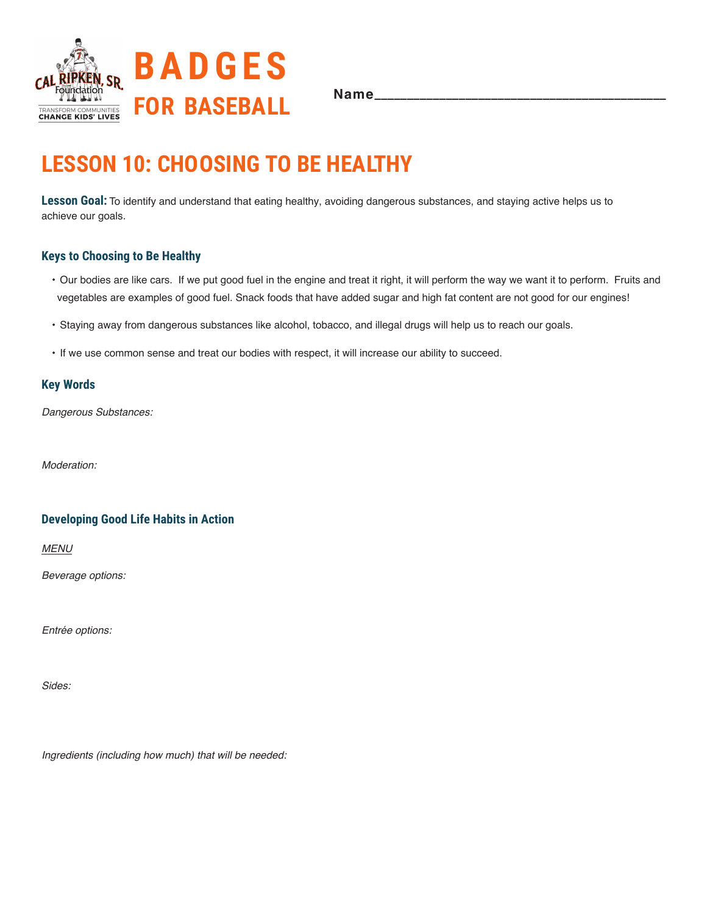

# **LESSON 10: CHOOSING TO BE HEALTHY**

**Lesson Goal:** To identify and understand that eating healthy, avoiding dangerous substances, and staying active helps us to achieve our goals.

## **Keys to Choosing to Be Healthy**

- Our bodies are like cars. If we put good fuel in the engine and treat it right, it will perform the way we want it to perform. Fruits and vegetables are examples of good fuel. Snack foods that have added sugar and high fat content are not good for our engines!
- Staying away from dangerous substances like alcohol, tobacco, and illegal drugs will help us to reach our goals.
- If we use common sense and treat our bodies with respect, it will increase our ability to succeed.

### **Key Words**

Dangerous Substances:

*Moderation:*

## **Developing Good Life Habits in Action**

MENU

Beverage options:

Entrée options:

*Sides:*

Ingredients (including how much) that will be needed: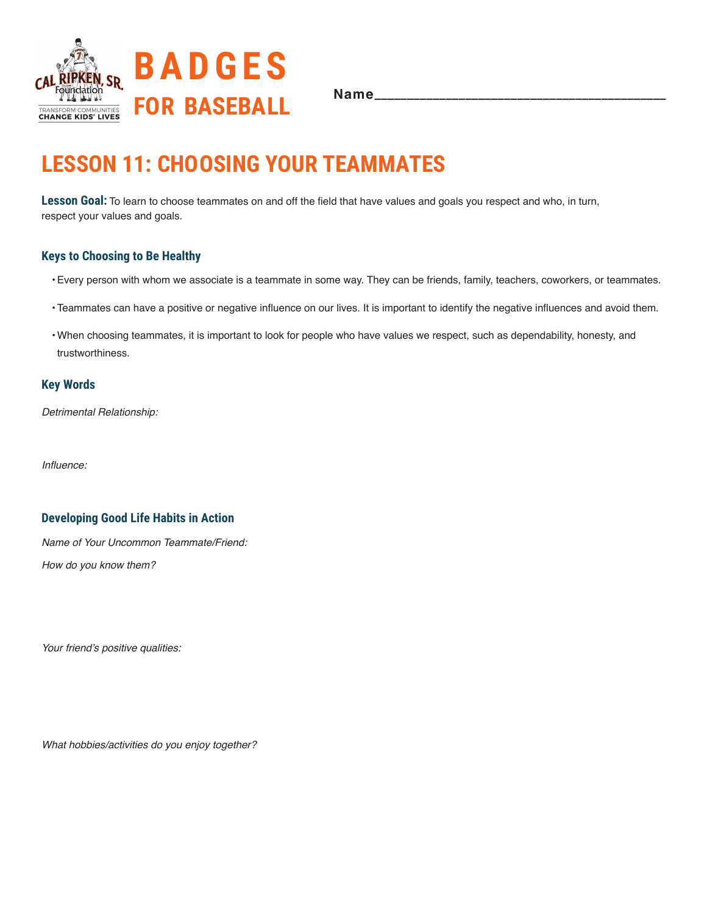

# **LESSON 11: CHOOSING YOUR TEAMMATES**

**Lesson Goal:** To learn to choose teammates on and off the field that have values and goals you respect and who, in turn, respect your values and goals.

## **Keys to Choosing to Be Healthy**

- •Every person with whom we associate is a teammate in some way. They can be friends, family, teachers, coworkers, or teammates.
- •Teammates can have a positive or negative influence on our lives. It is important to identify the negative influences and avoid them.
- •When choosing teammates, it is important to look for people who have values we respect, such as dependability, honesty, and trustworthiness.

### **Key Words**

Detrimental Relationship:

Influence:

### **Developing Good Life Habits in Action**

Name of Your Uncommon Teammate/Friend: How do you know them?

Your friend's positive qualities:

What hobbies/activities do you enjoy together?